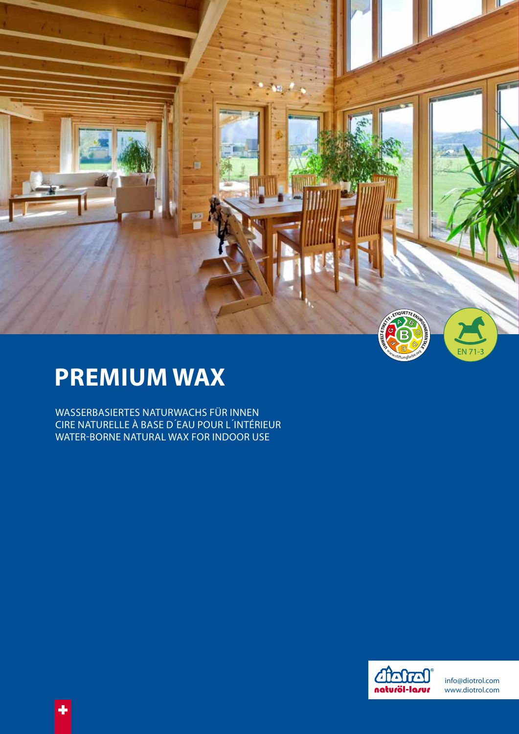

# **PREMIUM WAX**

 $\ddot{\bullet}$ 

WASSERBASIERTES NATURWACHS FÜR INNEN CIRE NATURELLE À BASE D'EAU POUR L'INTÉRIEUR WATER-BORNE NATURAL WAX FOR INDOOR USE



info@diotrol.com www.diotrol.com